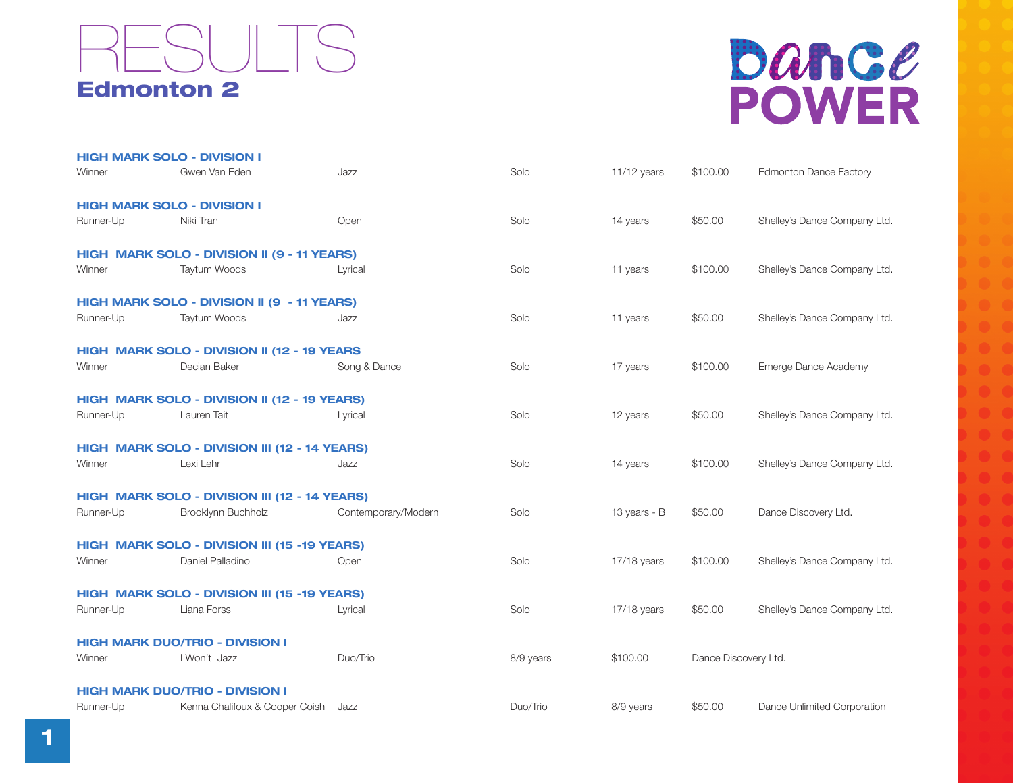

## bance **POWER**

|                                        | <b>HIGH MARK SOLO - DIVISION I</b>            |                     |           |               |                      |                               |  |  |
|----------------------------------------|-----------------------------------------------|---------------------|-----------|---------------|----------------------|-------------------------------|--|--|
| Winner                                 | Gwen Van Eden                                 | Jazz                | Solo      | $11/12$ years | \$100.00             | <b>Edmonton Dance Factory</b> |  |  |
| <b>HIGH MARK SOLO - DIVISION I</b>     |                                               |                     |           |               |                      |                               |  |  |
| Runner-Up                              | Niki Tran                                     | Open                | Solo      | 14 years      | \$50.00              | Shelley's Dance Company Ltd.  |  |  |
|                                        | HIGH MARK SOLO - DIVISION II (9 - 11 YEARS)   |                     |           |               |                      |                               |  |  |
| Winner                                 | Taytum Woods                                  | Lyrical             | Solo      | 11 years      | \$100.00             | Shelley's Dance Company Ltd.  |  |  |
|                                        | HIGH MARK SOLO - DIVISION II (9 - 11 YEARS)   |                     |           |               |                      |                               |  |  |
| Runner-Up                              | Taytum Woods                                  | Jazz                | Solo      | 11 years      | \$50.00              | Shelley's Dance Company Ltd.  |  |  |
|                                        | HIGH MARK SOLO - DIVISION II (12 - 19 YEARS   |                     |           |               |                      |                               |  |  |
| Winner                                 | Decian Baker                                  | Song & Dance        | Solo      | 17 years      | \$100.00             | Emerge Dance Academy          |  |  |
|                                        | HIGH MARK SOLO - DIVISION II (12 - 19 YEARS)  |                     |           |               |                      |                               |  |  |
| Runner-Up                              | Lauren Tait                                   | Lyrical             | Solo      | 12 years      | \$50.00              | Shelley's Dance Company Ltd.  |  |  |
|                                        | HIGH MARK SOLO - DIVISION III (12 - 14 YEARS) |                     |           |               |                      |                               |  |  |
| Winner                                 | Lexi Lehr                                     | Jazz                | Solo      | 14 years      | \$100.00             | Shelley's Dance Company Ltd.  |  |  |
|                                        | HIGH MARK SOLO - DIVISION III (12 - 14 YEARS) |                     |           |               |                      |                               |  |  |
| Runner-Up                              | Brooklynn Buchholz                            | Contemporary/Modern | Solo      | 13 years - B  | \$50.00              | Dance Discovery Ltd.          |  |  |
|                                        | HIGH MARK SOLO - DIVISION III (15 -19 YEARS)  |                     |           |               |                      |                               |  |  |
| Winner                                 | Daniel Palladino                              | Open                | Solo      | 17/18 years   | \$100.00             | Shelley's Dance Company Ltd.  |  |  |
|                                        | HIGH MARK SOLO - DIVISION III (15 -19 YEARS)  |                     |           |               |                      |                               |  |  |
| Runner-Up                              | Liana Forss                                   | Lyrical             | Solo      | 17/18 years   | \$50.00              | Shelley's Dance Company Ltd.  |  |  |
| <b>HIGH MARK DUO/TRIO - DIVISION I</b> |                                               |                     |           |               |                      |                               |  |  |
| Winner                                 | I Won't Jazz                                  | Duo/Trio            | 8/9 years | \$100.00      | Dance Discovery Ltd. |                               |  |  |
|                                        | <b>HIGH MARK DUO/TRIO - DIVISION I</b>        |                     |           |               |                      |                               |  |  |
| Runner-Up                              | Kenna Chalifoux & Cooper Coish                | Jazz                | Duo/Trio  | 8/9 years     | \$50.00              | Dance Unlimited Corporation   |  |  |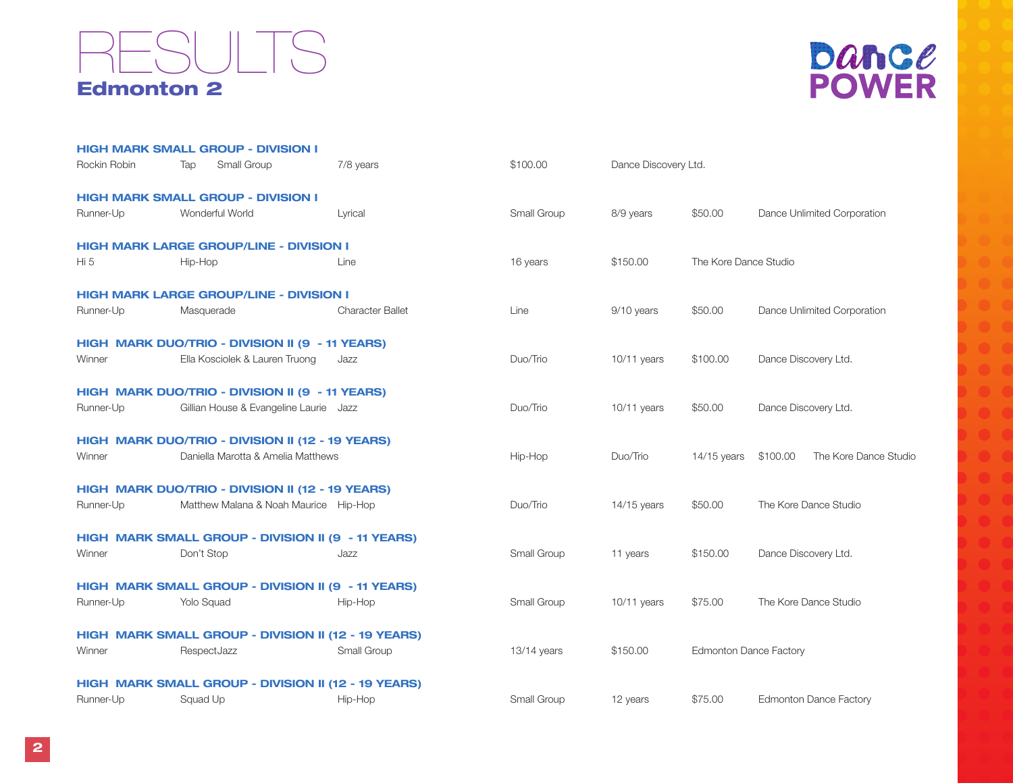#### Edmonton 2 **SULTS**



|              | <b>HIGH MARK SMALL GROUP - DIVISION I</b>          |                                                     |             |                      |                               |                                   |
|--------------|----------------------------------------------------|-----------------------------------------------------|-------------|----------------------|-------------------------------|-----------------------------------|
| Rockin Robin | Small Group<br>Tap                                 | 7/8 years                                           | \$100.00    | Dance Discovery Ltd. |                               |                                   |
|              | <b>HIGH MARK SMALL GROUP - DIVISION I</b>          |                                                     |             |                      |                               |                                   |
| Runner-Up    | Wonderful World                                    | Lyrical                                             | Small Group | 8/9 years            | \$50.00                       | Dance Unlimited Corporation       |
|              | <b>HIGH MARK LARGE GROUP/LINE - DIVISION I</b>     |                                                     |             |                      |                               |                                   |
| Hi 5         | Hip-Hop                                            | Line                                                | 16 years    | \$150.00             | The Kore Dance Studio         |                                   |
|              | <b>HIGH MARK LARGE GROUP/LINE - DIVISION I</b>     |                                                     |             |                      |                               |                                   |
| Runner-Up    | Masquerade                                         | <b>Character Ballet</b>                             | Line        | 9/10 years           | \$50.00                       | Dance Unlimited Corporation       |
|              | HIGH MARK DUO/TRIO - DIVISION II (9 - 11 YEARS)    |                                                     |             |                      |                               |                                   |
| Winner       | Ella Kosciolek & Lauren Truong                     | Jazz                                                | Duo/Trio    | $10/11$ years        | \$100.00                      | Dance Discovery Ltd.              |
|              | HIGH MARK DUO/TRIO - DIVISION II (9 - 11 YEARS)    |                                                     |             |                      |                               |                                   |
| Runner-Up    | Gillian House & Evangeline Laurie Jazz             |                                                     | Duo/Trio    | $10/11$ years        | \$50.00                       | Dance Discovery Ltd.              |
|              | HIGH MARK DUO/TRIO - DIVISION II (12 - 19 YEARS)   |                                                     |             |                      |                               |                                   |
| Winner       | Daniella Marotta & Amelia Matthews                 |                                                     | Hip-Hop     | Duo/Trio             | $14/15$ years                 | \$100.00<br>The Kore Dance Studio |
|              | HIGH MARK DUO/TRIO - DIVISION II (12 - 19 YEARS)   |                                                     |             |                      |                               |                                   |
| Runner-Up    | Matthew Malana & Noah Maurice Hip-Hop              |                                                     | Duo/Trio    | $14/15$ years        | \$50.00                       | The Kore Dance Studio             |
|              | HIGH MARK SMALL GROUP - DIVISION II (9 - 11 YEARS) |                                                     |             |                      |                               |                                   |
| Winner       | Don't Stop                                         | Jazz                                                | Small Group | 11 years             | \$150.00                      | Dance Discovery Ltd.              |
|              | HIGH MARK SMALL GROUP - DIVISION II (9 - 11 YEARS) |                                                     |             |                      |                               |                                   |
| Runner-Up    | Yolo Squad                                         | Hip-Hop                                             | Small Group | $10/11$ years        | \$75.00                       | The Kore Dance Studio             |
|              |                                                    | HIGH MARK SMALL GROUP - DIVISION II (12 - 19 YEARS) |             |                      |                               |                                   |
| Winner       | RespectJazz                                        | Small Group                                         | 13/14 years | \$150.00             | <b>Edmonton Dance Factory</b> |                                   |
|              |                                                    | HIGH MARK SMALL GROUP - DIVISION II (12 - 19 YEARS) |             |                      |                               |                                   |
| Runner-Up    | Squad Up                                           | Hip-Hop                                             | Small Group | 12 years             | \$75.00                       | <b>Edmonton Dance Factory</b>     |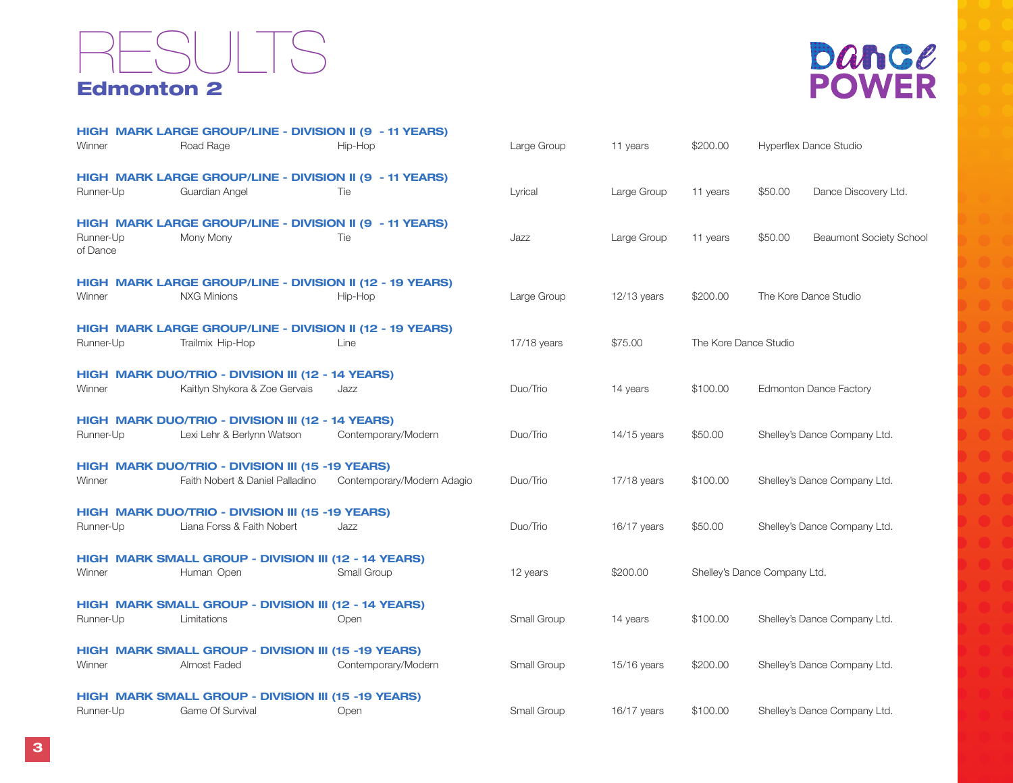#### Edmonton 2 RESULTS



|                       | HIGH MARK LARGE GROUP/LINE - DIVISION II (9 - 11 YEARS)  |                            |               |               |                       |                                           |  |  |  |
|-----------------------|----------------------------------------------------------|----------------------------|---------------|---------------|-----------------------|-------------------------------------------|--|--|--|
| Winner                | Road Rage                                                | Hip-Hop                    | Large Group   | 11 years      | \$200.00              | <b>Hyperflex Dance Studio</b>             |  |  |  |
|                       | HIGH MARK LARGE GROUP/LINE - DIVISION II (9 - 11 YEARS)  |                            |               |               |                       |                                           |  |  |  |
| Runner-Up             | Guardian Angel                                           | Tie                        | Lyrical       | Large Group   | 11 years              | Dance Discovery Ltd.<br>\$50.00           |  |  |  |
|                       | HIGH MARK LARGE GROUP/LINE - DIVISION II (9 - 11 YEARS)  |                            |               |               |                       |                                           |  |  |  |
| Runner-Up<br>of Dance | Mony Mony                                                | Tie                        | Jazz          | Large Group   | 11 years              | \$50.00<br><b>Beaumont Society School</b> |  |  |  |
|                       | HIGH MARK LARGE GROUP/LINE - DIVISION II (12 - 19 YEARS) |                            |               |               |                       |                                           |  |  |  |
| Winner                | <b>NXG Minions</b>                                       | Hip-Hop                    | Large Group   | $12/13$ years | \$200.00              | The Kore Dance Studio                     |  |  |  |
|                       | HIGH MARK LARGE GROUP/LINE - DIVISION II (12 - 19 YEARS) |                            |               |               |                       |                                           |  |  |  |
| Runner-Up             | Trailmix Hip-Hop                                         | Line                       | $17/18$ years | \$75.00       | The Kore Dance Studio |                                           |  |  |  |
|                       | HIGH MARK DUO/TRIO - DIVISION III (12 - 14 YEARS)        |                            |               |               |                       |                                           |  |  |  |
| Winner                | Kaitlyn Shykora & Zoe Gervais                            | Jazz                       | Duo/Trio      | 14 years      | \$100.00              | <b>Edmonton Dance Factory</b>             |  |  |  |
|                       | HIGH MARK DUO/TRIO - DIVISION III (12 - 14 YEARS)        |                            |               |               |                       |                                           |  |  |  |
| Runner-Up             | Lexi Lehr & Berlynn Watson                               | Contemporary/Modern        | Duo/Trio      | $14/15$ years | \$50.00               | Shelley's Dance Company Ltd.              |  |  |  |
|                       | HIGH MARK DUO/TRIO - DIVISION III (15 -19 YEARS)         |                            |               |               |                       |                                           |  |  |  |
| Winner                | Faith Nobert & Daniel Palladino                          | Contemporary/Modern Adagio | Duo/Trio      | $17/18$ years | \$100.00              | Shelley's Dance Company Ltd.              |  |  |  |
|                       | HIGH MARK DUO/TRIO - DIVISION III (15 -19 YEARS)         |                            |               |               |                       |                                           |  |  |  |
| Runner-Up             | Liana Forss & Faith Nobert                               | Jazz                       | Duo/Trio      | $16/17$ years | \$50.00               | Shelley's Dance Company Ltd.              |  |  |  |
|                       | HIGH MARK SMALL GROUP - DIVISION III (12 - 14 YEARS)     |                            |               |               |                       |                                           |  |  |  |
| Winner                | Human Open                                               | Small Group                | 12 years      | \$200.00      |                       | Shelley's Dance Company Ltd.              |  |  |  |
|                       | HIGH MARK SMALL GROUP - DIVISION III (12 - 14 YEARS)     |                            |               |               |                       |                                           |  |  |  |
| Runner-Up             | Limitations                                              | Open                       | Small Group   | 14 years      | \$100.00              | Shelley's Dance Company Ltd.              |  |  |  |
|                       | HIGH MARK SMALL GROUP - DIVISION III (15 -19 YEARS)      |                            |               |               |                       |                                           |  |  |  |
| Winner                | Almost Faded                                             | Contemporary/Modern        | Small Group   | 15/16 years   | \$200.00              | Shelley's Dance Company Ltd.              |  |  |  |
|                       | HIGH MARK SMALL GROUP - DIVISION III (15 -19 YEARS)      |                            |               |               |                       |                                           |  |  |  |
| Runner-Up             | Game Of Survival                                         | Open                       | Small Group   | $16/17$ years | \$100.00              | Shelley's Dance Company Ltd.              |  |  |  |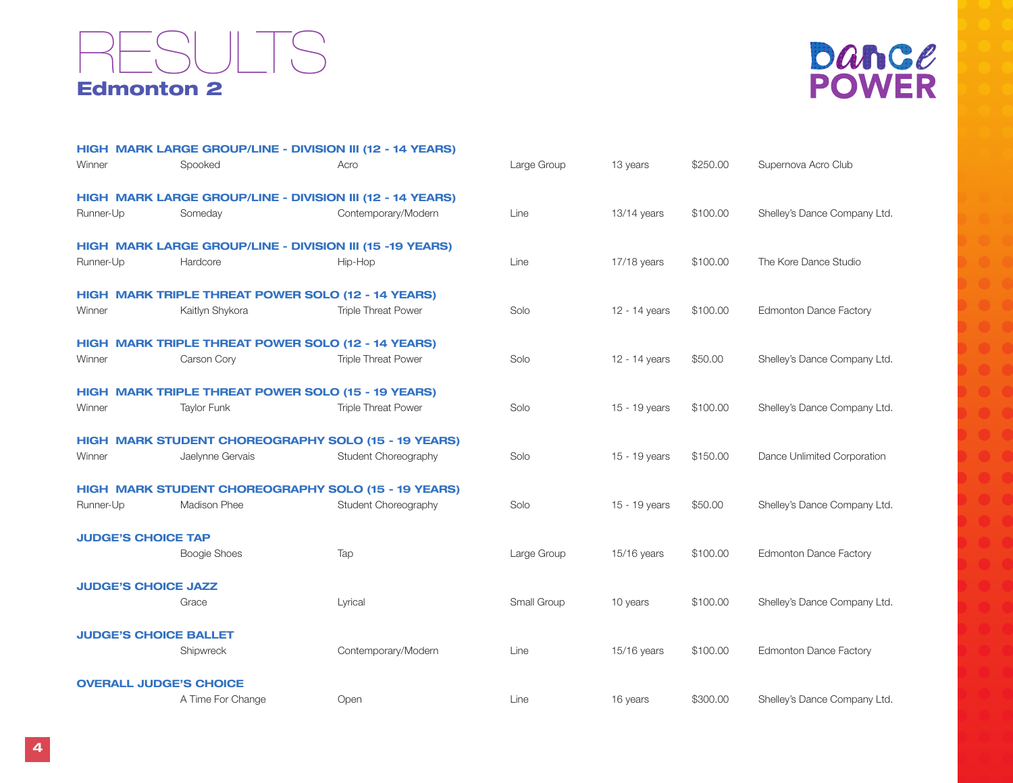#### Edmonton 2 **SULTS**



|                            |                               | HIGH MARK LARGE GROUP/LINE - DIVISION III (12 - 14 YEARS)  |             |               |          |                               |
|----------------------------|-------------------------------|------------------------------------------------------------|-------------|---------------|----------|-------------------------------|
| Winner                     | Spooked                       | Acro                                                       | Large Group | 13 years      | \$250.00 | Supernova Acro Club           |
|                            |                               | HIGH MARK LARGE GROUP/LINE - DIVISION III (12 - 14 YEARS)  |             |               |          |                               |
| Runner-Up                  | Someday                       | Contemporary/Modern                                        | Line        | $13/14$ years | \$100.00 | Shelley's Dance Company Ltd.  |
|                            |                               | HIGH MARK LARGE GROUP/LINE - DIVISION III (15 -19 YEARS)   |             |               |          |                               |
| Runner-Up                  | Hardcore                      | Hip-Hop                                                    | Line        | 17/18 years   | \$100.00 | The Kore Dance Studio         |
|                            |                               | HIGH MARK TRIPLE THREAT POWER SOLO (12 - 14 YEARS)         |             |               |          |                               |
| Winner                     | Kaitlyn Shykora               | <b>Triple Threat Power</b>                                 | Solo        | 12 - 14 years | \$100.00 | <b>Edmonton Dance Factory</b> |
|                            |                               | HIGH MARK TRIPLE THREAT POWER SOLO (12 - 14 YEARS)         |             |               |          |                               |
| Winner                     | Carson Cory                   | <b>Triple Threat Power</b>                                 | Solo        | 12 - 14 years | \$50.00  | Shelley's Dance Company Ltd.  |
|                            |                               | <b>HIGH MARK TRIPLE THREAT POWER SOLO (15 - 19 YEARS)</b>  |             |               |          |                               |
| Winner                     | <b>Taylor Funk</b>            | <b>Triple Threat Power</b>                                 | Solo        | 15 - 19 years | \$100.00 | Shelley's Dance Company Ltd.  |
|                            |                               | HIGH MARK STUDENT CHOREOGRAPHY SOLO (15 - 19 YEARS)        |             |               |          |                               |
| Winner                     | Jaelynne Gervais              | Student Choreography                                       | Solo        | 15 - 19 years | \$150.00 | Dance Unlimited Corporation   |
|                            |                               | <b>HIGH MARK STUDENT CHOREOGRAPHY SOLO (15 - 19 YEARS)</b> |             |               |          |                               |
| Runner-Up                  | Madison Phee                  | Student Choreography                                       | Solo        | 15 - 19 years | \$50.00  | Shelley's Dance Company Ltd.  |
| <b>JUDGE'S CHOICE TAP</b>  |                               |                                                            |             |               |          |                               |
|                            | <b>Boogie Shoes</b>           | Tap                                                        | Large Group | 15/16 years   | \$100.00 | <b>Edmonton Dance Factory</b> |
| <b>JUDGE'S CHOICE JAZZ</b> |                               |                                                            |             |               |          |                               |
|                            | Grace                         | Lyrical                                                    | Small Group | 10 years      | \$100.00 | Shelley's Dance Company Ltd.  |
|                            | <b>JUDGE'S CHOICE BALLET</b>  |                                                            |             |               |          |                               |
|                            | Shipwreck                     | Contemporary/Modern                                        | Line        | 15/16 years   | \$100.00 | <b>Edmonton Dance Factory</b> |
|                            | <b>OVERALL JUDGE'S CHOICE</b> |                                                            |             |               |          |                               |
|                            | A Time For Change             | Open                                                       | Line        | 16 years      | \$300.00 | Shelley's Dance Company Ltd.  |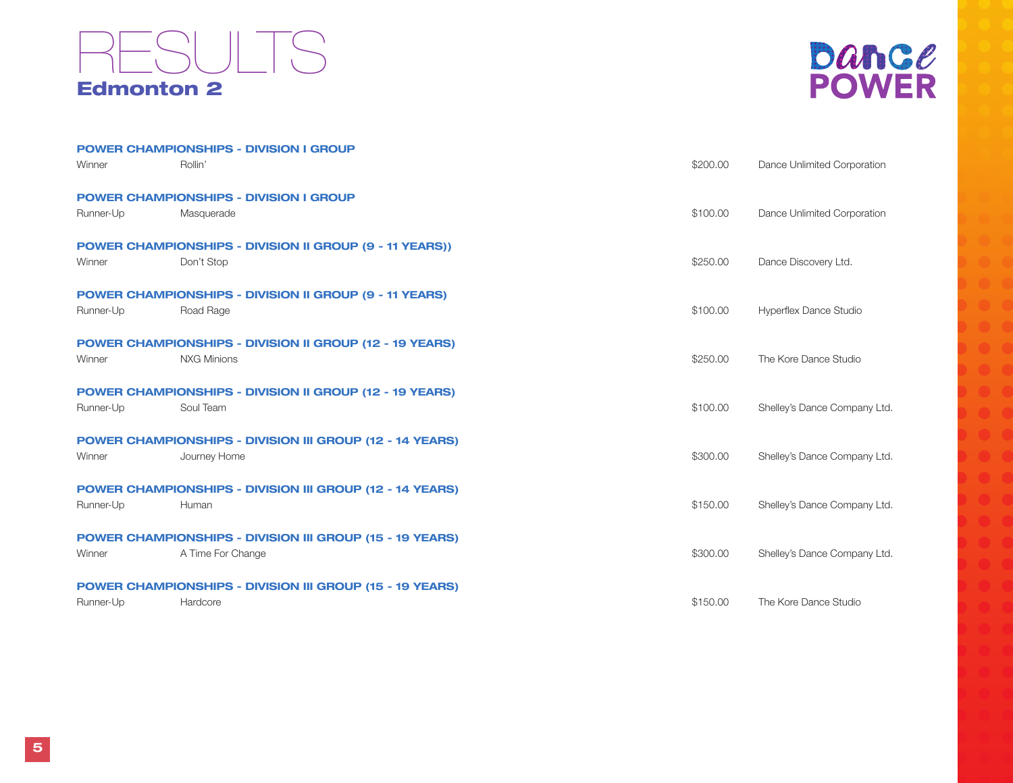### Edmonton 2 RESULTS

| Dance        |  |
|--------------|--|
| <b>POWER</b> |  |

|           |                    | <b>POWER CHAMPIONSHIPS - DIVISION I GROUP</b>                   |          |                              |
|-----------|--------------------|-----------------------------------------------------------------|----------|------------------------------|
| Winner    | Rollin'            |                                                                 | \$200.00 | Dance Unlimited Corporation  |
|           |                    | <b>POWER CHAMPIONSHIPS - DIVISION I GROUP</b>                   |          |                              |
| Runner-Up | Masquerade         |                                                                 | \$100.00 | Dance Unlimited Corporation  |
|           |                    | <b>POWER CHAMPIONSHIPS - DIVISION II GROUP (9 - 11 YEARS))</b>  |          |                              |
| Winner    | Don't Stop         |                                                                 | \$250.00 | Dance Discovery Ltd.         |
|           |                    | <b>POWER CHAMPIONSHIPS - DIVISION II GROUP (9 - 11 YEARS)</b>   |          |                              |
| Runner-Up | Road Rage          |                                                                 | \$100.00 | Hyperflex Dance Studio       |
|           |                    | <b>POWER CHAMPIONSHIPS - DIVISION II GROUP (12 - 19 YEARS)</b>  |          |                              |
| Winner    | <b>NXG Minions</b> |                                                                 | \$250.00 | The Kore Dance Studio        |
|           |                    | <b>POWER CHAMPIONSHIPS - DIVISION II GROUP (12 - 19 YEARS)</b>  |          |                              |
| Runner-Up | Soul Team          |                                                                 | \$100.00 | Shelley's Dance Company Ltd. |
|           |                    | <b>POWER CHAMPIONSHIPS - DIVISION III GROUP (12 - 14 YEARS)</b> |          |                              |
| Winner    | Journey Home       |                                                                 | \$300.00 | Shelley's Dance Company Ltd. |
|           |                    | <b>POWER CHAMPIONSHIPS - DIVISION III GROUP (12 - 14 YEARS)</b> |          |                              |
| Runner-Up | Human              |                                                                 | \$150.00 | Shelley's Dance Company Ltd. |
|           |                    | <b>POWER CHAMPIONSHIPS - DIVISION III GROUP (15 - 19 YEARS)</b> |          |                              |
| Winner    | A Time For Change  |                                                                 | \$300.00 | Shelley's Dance Company Ltd. |
|           |                    | <b>POWER CHAMPIONSHIPS - DIVISION III GROUP (15 - 19 YEARS)</b> |          |                              |
| Runner-Up | Hardcore           |                                                                 | \$150.00 | The Kore Dance Studio        |